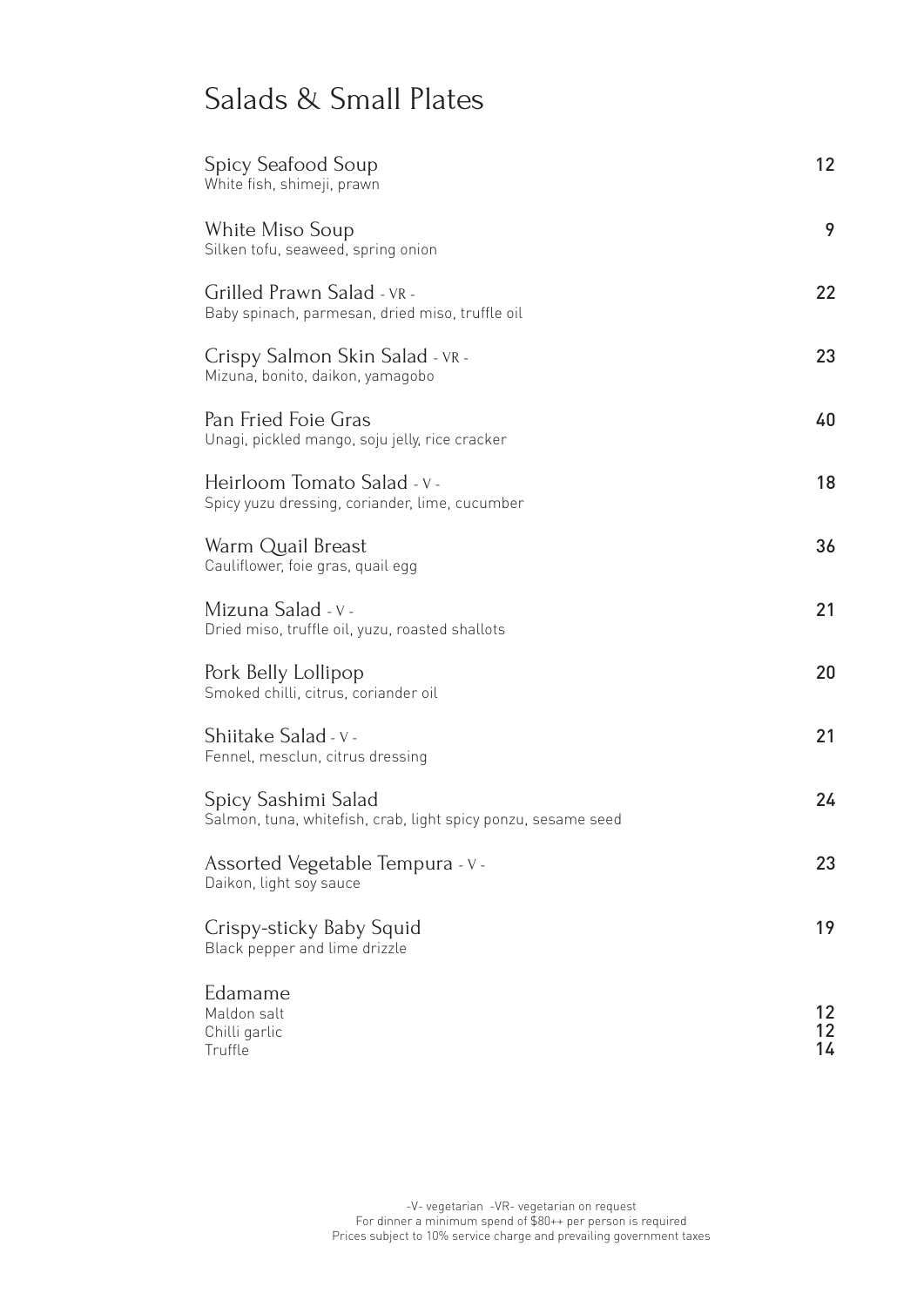## Salads & Small Plates

| Spicy Seafood Soup<br>White fish, shimeji, prawn                                     | 12             |
|--------------------------------------------------------------------------------------|----------------|
| White Miso Soup<br>Silken tofu, seaweed, spring onion                                | 9              |
| Grilled Prawn Salad - VR -<br>Baby spinach, parmesan, dried miso, truffle oil        | 22             |
| Crispy Salmon Skin Salad - VR -<br>Mizuna, bonito, daikon, yamagobo                  | 23             |
| Pan Fried Foie Gras<br>Unagi, pickled mango, soju jelly, rice cracker                | 40             |
| Heirloom Tomato Salad - v -<br>Spicy yuzu dressing, coriander, lime, cucumber        | 18             |
| Warm Quail Breast<br>Cauliflower, foie gras, quail egg                               | 36             |
| Mizuna Salad - v -<br>Dried miso, truffle oil, yuzu, roasted shallots                | 21             |
| Pork Belly Lollipop<br>Smoked chilli, citrus, coriander oil                          | 20             |
| Shiitake Salad - v -<br>Fennel, mesclun, citrus dressing                             | 21             |
| Spicy Sashimi Salad<br>Salmon, tuna, whitefish, crab, light spicy ponzu, sesame seed | 24             |
| Assorted Vegetable Tempura - v -<br>Daikon, light soy sauce                          | 23             |
| Crispy-sticky Baby Squid<br>Black pepper and lime drizzle                            | 19             |
| Edamame<br>Maldon salt<br>Chilli garlic<br>Truffle                                   | 12<br>12<br>14 |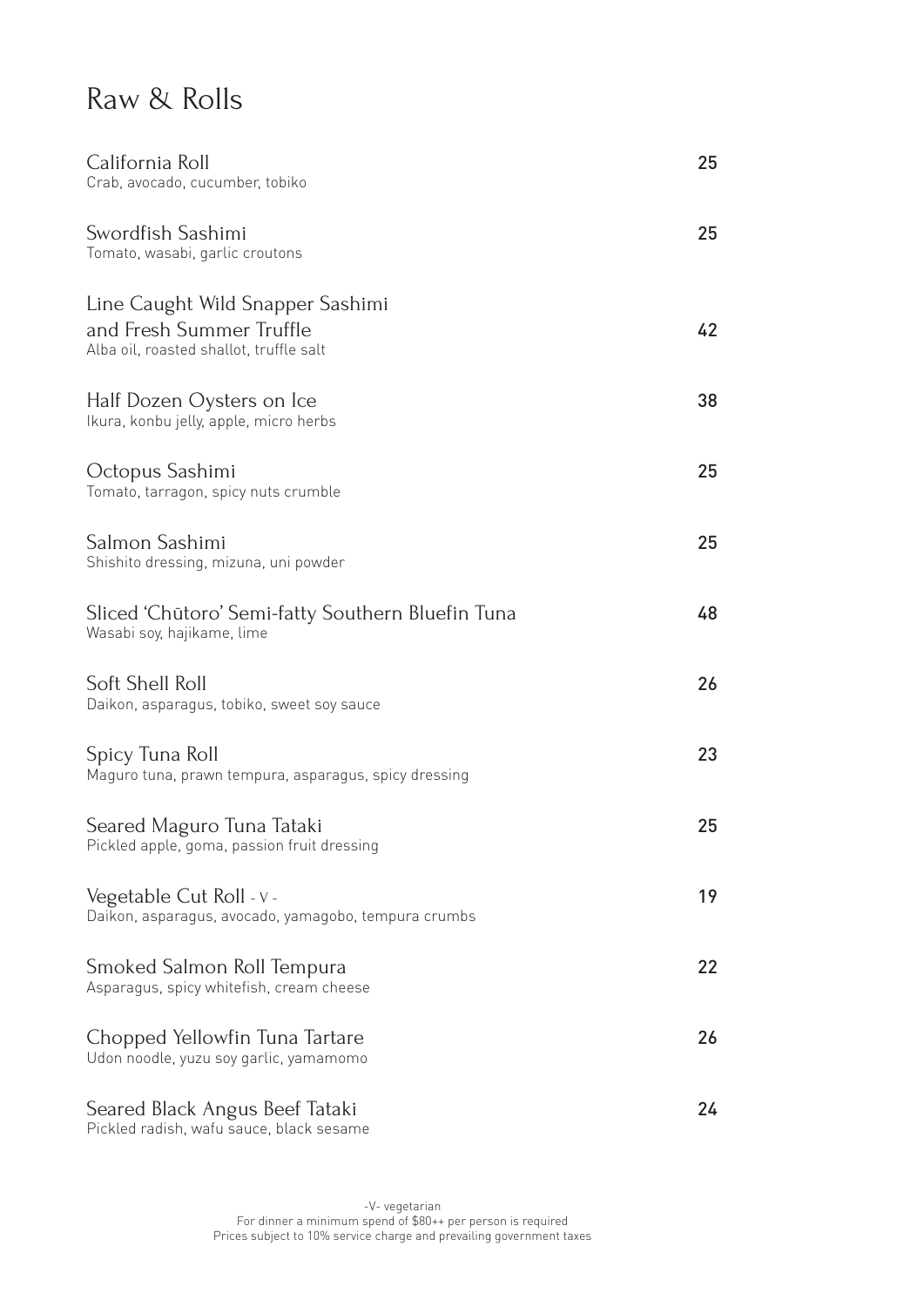### Raw & Rolls

| California Roll<br>Crab, avocado, cucumber, tobiko                                                      | 25 |
|---------------------------------------------------------------------------------------------------------|----|
| Swordfish Sashimi<br>Tomato, wasabi, garlic croutons                                                    | 25 |
| Line Caught Wild Snapper Sashimi<br>and Fresh Summer Truffle<br>Alba oil, roasted shallot, truffle salt | 42 |
| Half Dozen Oysters on Ice<br>Ikura, konbu jelly, apple, micro herbs                                     | 38 |
| Octopus Sashimi<br>Tomato, tarragon, spicy nuts crumble                                                 | 25 |
| Salmon Sashimi<br>Shishito dressing, mizuna, uni powder                                                 | 25 |
| Sliced 'Chūtoro' Semi-fatty Southern Bluefin Tuna<br>Wasabi soy, hajikame, lime                         | 48 |
| Soft Shell Roll<br>Daikon, asparagus, tobiko, sweet soy sauce                                           | 26 |
| Spicy Tuna Roll<br>Maguro tuna, prawn tempura, asparagus, spicy dressing                                | 23 |
| Seared Maguro Tuna Tataki<br>Pickled apple, goma, passion fruit dressing                                | 25 |
| Vegetable Cut Roll - v -<br>Daikon, asparagus, avocado, yamagobo, tempura crumbs                        | 19 |
| Smoked Salmon Roll Tempura<br>Asparagus, spicy whitefish, cream cheese                                  | 22 |
| Chopped Yellowfin Tuna Tartare<br>Udon noodle, yuzu soy garlic, yamamomo                                | 26 |
| Seared Black Angus Beef Tataki<br>Pickled radish, wafu sauce, black sesame                              | 24 |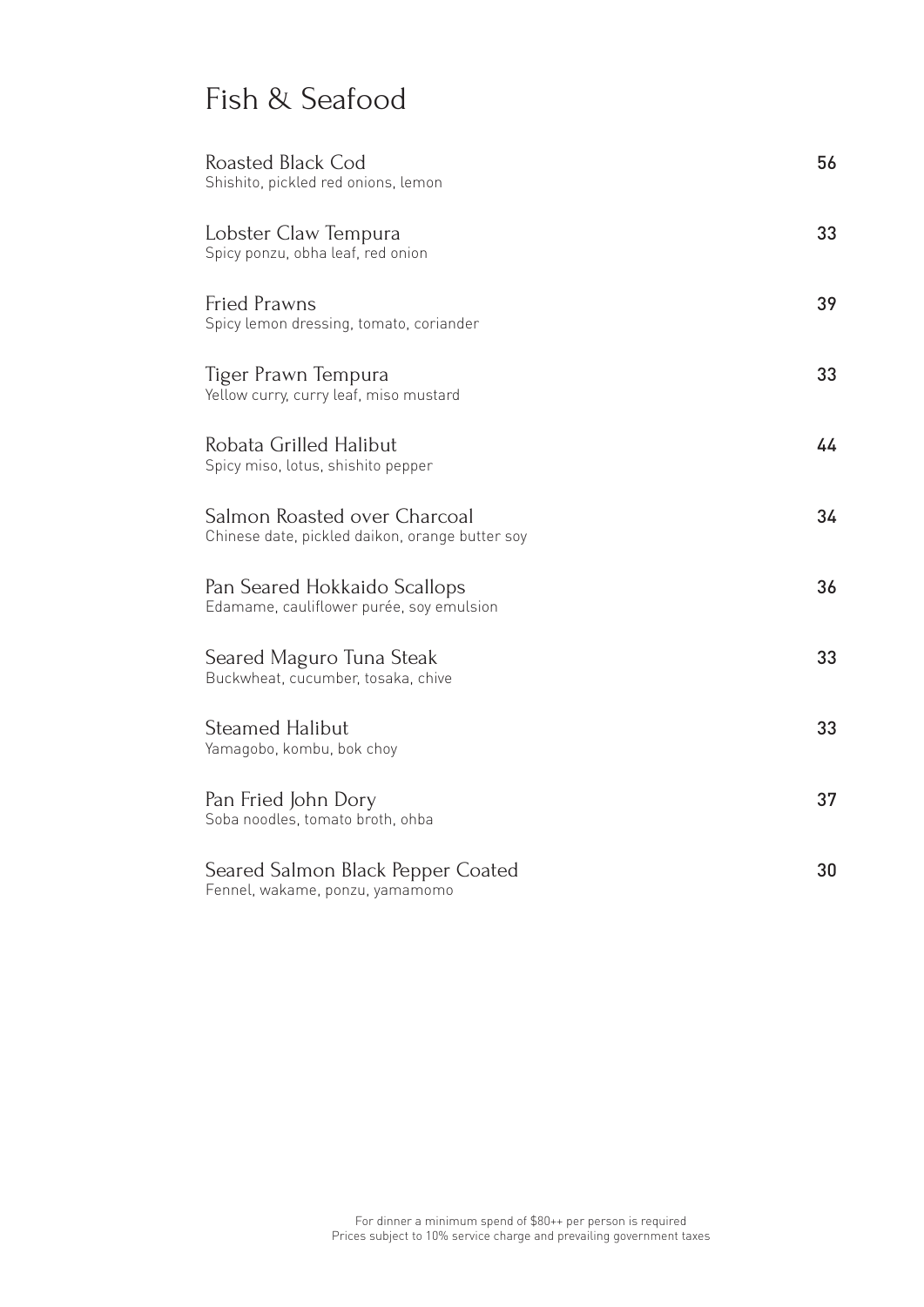## Fish & Seafood

| Roasted Black Cod<br>Shishito, pickled red onions, lemon                        | 56 |
|---------------------------------------------------------------------------------|----|
| Lobster Claw Tempura<br>Spicy ponzu, obha leaf, red onion                       | 33 |
| <b>Fried Prawns</b><br>Spicy lemon dressing, tomato, coriander                  | 39 |
| Tiger Prawn Tempura<br>Yellow curry, curry leaf, miso mustard                   | 33 |
| Robata Grilled Halibut<br>Spicy miso, lotus, shishito pepper                    | 44 |
| Salmon Roasted over Charcoal<br>Chinese date, pickled daikon, orange butter soy | 34 |
| Pan Seared Hokkaido Scallops<br>Edamame, cauliflower purée, soy emulsion        | 36 |
| Seared Maguro Tuna Steak<br>Buckwheat, cucumber, tosaka, chive                  | 33 |
| <b>Steamed Halibut</b><br>Yamagobo, kombu, bok choy                             | 33 |
| Pan Fried John Dory<br>Soba noodles, tomato broth, ohba                         | 37 |
| Seared Salmon Black Pepper Coated<br>Fennel, wakame, ponzu, yamamomo            | 30 |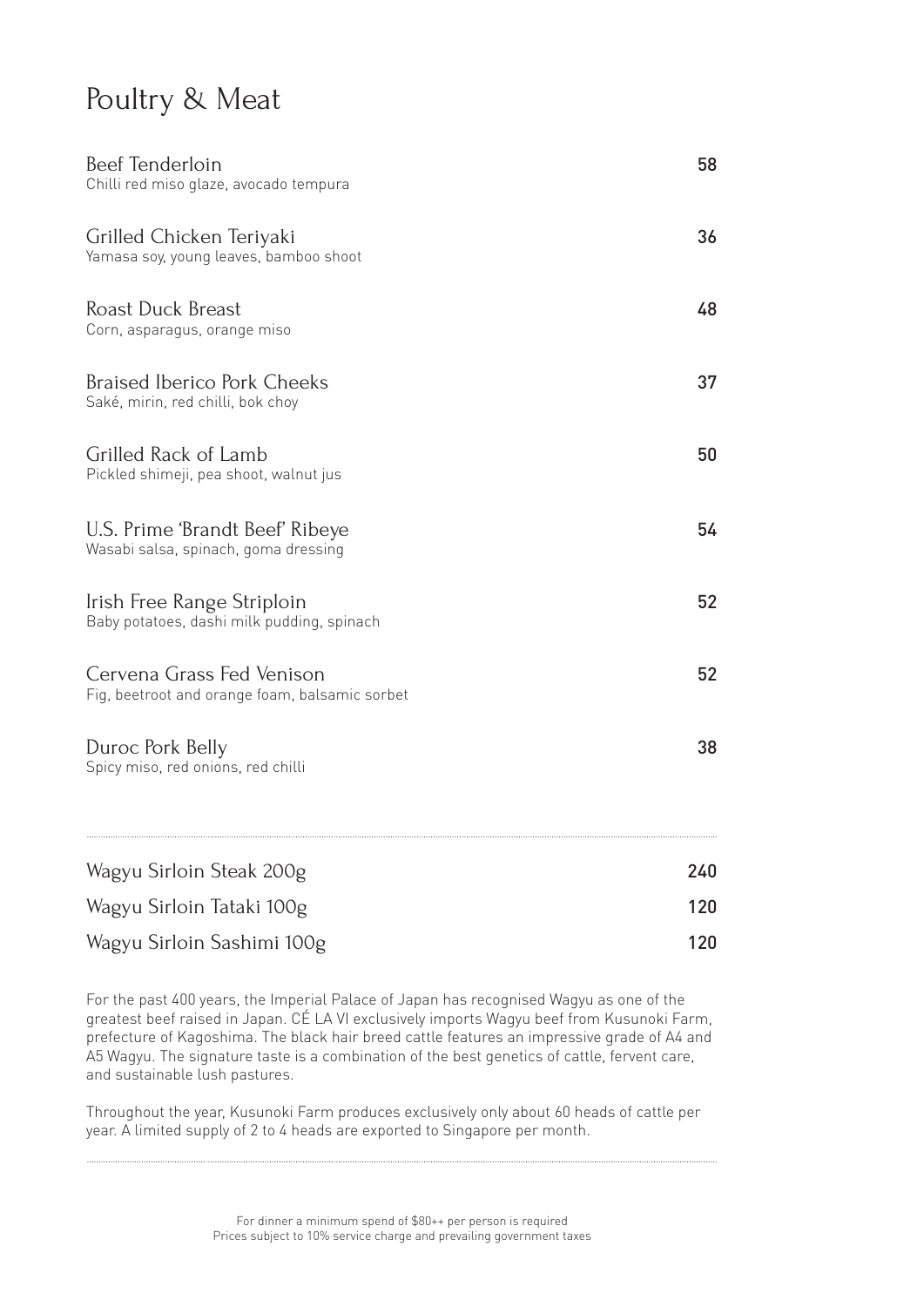#### Poultry & Meat

| Beef Tenderloin<br>Chilli red miso glaze, avocado tempura                   | 58  |  |
|-----------------------------------------------------------------------------|-----|--|
| Grilled Chicken Teriyaki<br>Yamasa soy, young leaves, bamboo shoot          | 36  |  |
| <b>Roast Duck Breast</b><br>Corn, asparagus, orange miso                    | 48  |  |
| <b>Braised Iberico Pork Cheeks</b><br>Saké, mirin, red chilli, bok choy     | 37  |  |
| Grilled Rack of Lamb<br>Pickled shimeji, pea shoot, walnut jus              | 50  |  |
| U.S. Prime 'Brandt Beef' Ribeye<br>Wasabi salsa, spinach, goma dressing     | 54  |  |
| Irish Free Range Striploin<br>Baby potatoes, dashi milk pudding, spinach    | 52  |  |
| Cervena Grass Fed Venison<br>Fig, beetroot and orange foam, balsamic sorbet | 52  |  |
| Duroc Pork Belly<br>Spicy miso, red onions, red chilli                      | 38  |  |
| Wagyu Sirloin Steak 200g                                                    | 240 |  |
| Wagyu Sirloin Tataki 100g                                                   | 120 |  |
| Wagyu Sirloin Sashimi 100g                                                  | 120 |  |

For the past 400 years, the Imperial Palace of Japan has recognised Wagyu as one of the greatest beef raised in Japan. CÉ LA VI exclusively imports Wagyu beef from Kusunoki Farm, prefecture of Kagoshima. The black hair breed cattle features an impressive grade of A4 and A5 Wagyu. The signature taste is a combination of the best genetics of cattle, fervent care, and sustainable lush pastures.

Throughout the year, Kusunoki Farm produces exclusively only about 60 heads of cattle per year. A limited supply of 2 to 4 heads are exported to Singapore per month.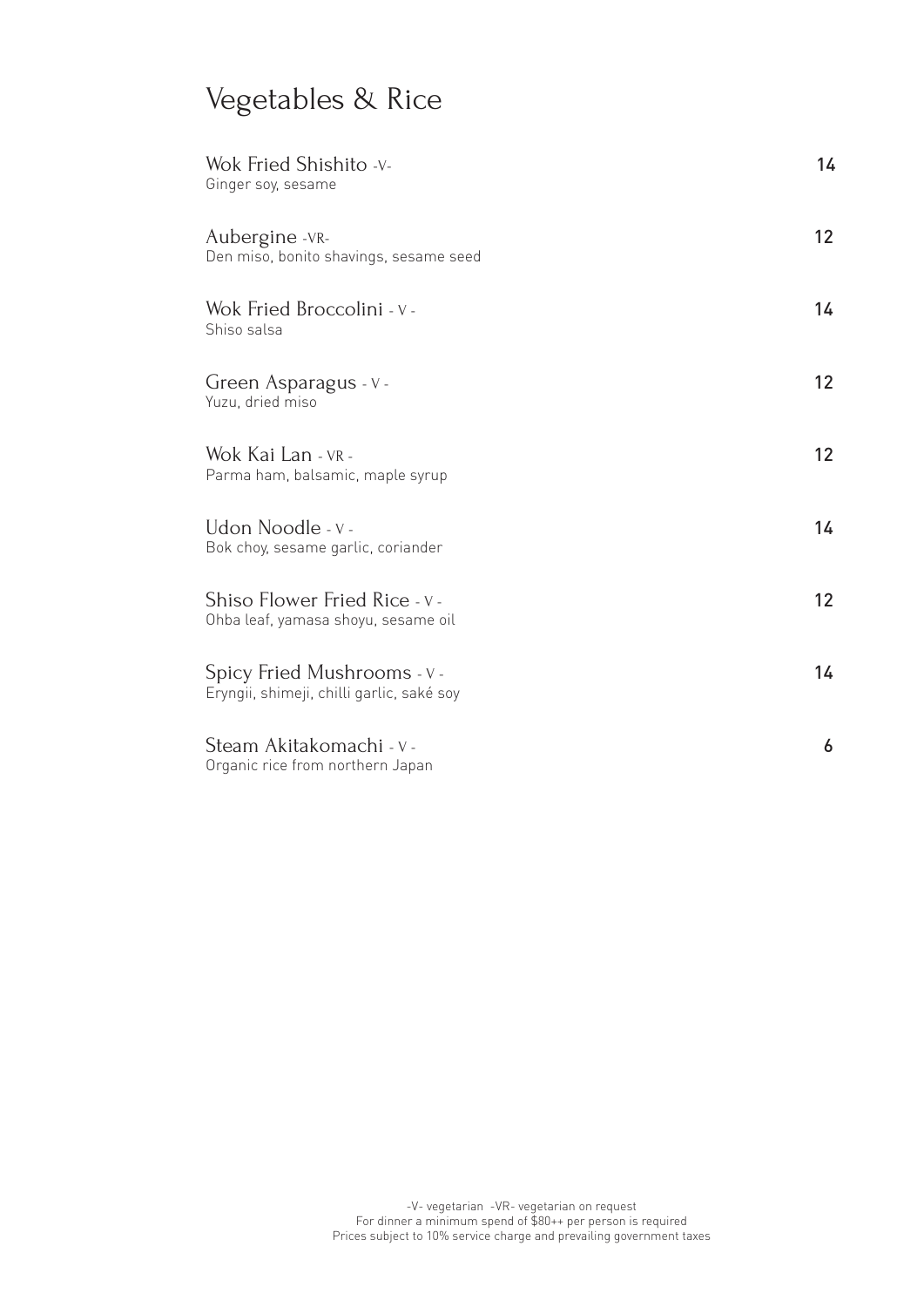# Vegetables & Rice

| Wok Fried Shishito -v-<br>Ginger soy, sesame                             | 14 |
|--------------------------------------------------------------------------|----|
| Aubergine -VR-<br>Den miso, bonito shavings, sesame seed                 | 12 |
| Wok Fried Broccolini - v -<br>Shiso salsa                                | 14 |
| Green Asparagus - V -<br>Yuzu, dried miso                                | 12 |
| Wok Kai Lan - VR -<br>Parma ham, balsamic, maple syrup                   | 12 |
| Udon Noodle - v -<br>Bok choy, sesame garlic, coriander                  | 14 |
| Shiso Flower Fried Rice - v -<br>Ohba leaf, yamasa shoyu, sesame oil     | 12 |
| Spicy Fried Mushrooms - v -<br>Eryngii, shimeji, chilli garlic, saké soy | 14 |
| Steam Akitakomachi - v -<br>Organic rice from northern Japan             | 6  |